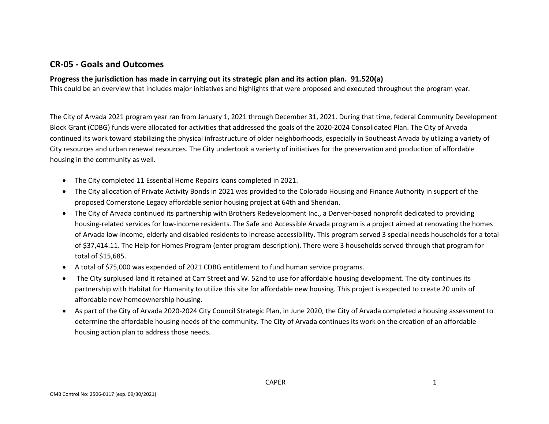### **CR-05 - Goals and Outcomes**

#### **Progress the jurisdiction has made in carrying out its strategic plan and its action plan. 91.520(a)**

This could be an overview that includes major initiatives and highlights that were proposed and executed throughout the program year.

The City of Arvada 2021 program year ran from January 1, 2021 through December 31, 2021. During that time, federal Community Development Block Grant (CDBG) funds were allocated for activities that addressed the goals of the 2020-2024 Consolidated Plan. The City of Arvada continued its work toward stabilizing the physical infrastructure of older neighborhoods, especially in Southeast Arvada by utlizing a variety of City resources and urban renewal resources. The City undertook a varierty of initiatives for the preservation and production of affordable housing in the community as well.

- The City completed 11 Essential Home Repairs loans completed in 2021.
- The City allocation of Private Activity Bonds in 2021 was provided to the Colorado Housing and Finance Authority in support of the proposed Cornerstone Legacy affordable senior housing project at 64th and Sheridan.
- The City of Arvada continued its partnership with Brothers Redevelopment Inc., a Denver-based nonprofit dedicated to providing housing-related services for low-income residents. The Safe and Accessible Arvada program is a project aimed at renovating the homes of Arvada low-income, elderly and disabled residents to increase accessibility. This program served 3 special needs households for a total of \$37,414.11. The Help for Homes Program (enter program description). There were 3 households served through that program for total of \$15,685.
- A total of \$75,000 was expended of 2021 CDBG entitlement to fund human service programs.
- The City surplused land it retained at Carr Street and W. 52nd to use for affordable housing development. The city continues its partnership with Habitat for Humanity to utilize this site for affordable new housing. This project is expected to create 20 units of affordable new homeownership housing.
- As part of the City of Arvada 2020-2024 City Council Strategic Plan, in June 2020, the City of Arvada completed a housing assessment to determine the affordable housing needs of the community. The City of Arvada continues its work on the creation of an affordable housing action plan to address those needs.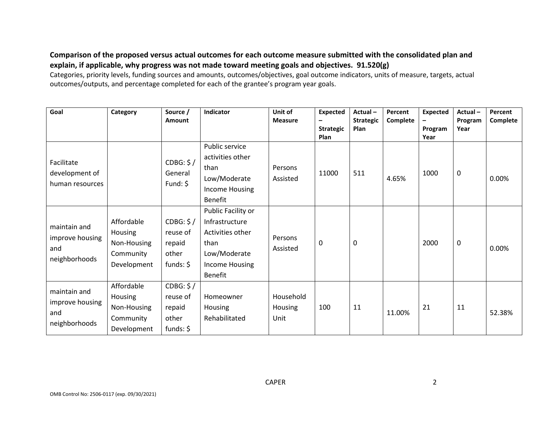### **Comparison of the proposed versus actual outcomes for each outcome measure submitted with the consolidated plan and explain, if applicable, why progress was not made toward meeting goals and objectives. 91.520(g)**

Categories, priority levels, funding sources and amounts, outcomes/objectives, goal outcome indicators, units of measure, targets, actual outcomes/outputs, and percentage completed for each of the grantee's program year goals.

| Goal                                                    | Category                                                         | Source /<br>Amount                                               | Indicator                                                                                                     | Unit of<br><b>Measure</b>    | Expected<br><b>Strategic</b><br>Plan | Actual-<br><b>Strategic</b><br>Plan | Percent<br>Complete | <b>Expected</b><br>Program<br>Year | Actual-<br>Program<br>Year | Percent<br>Complete |
|---------------------------------------------------------|------------------------------------------------------------------|------------------------------------------------------------------|---------------------------------------------------------------------------------------------------------------|------------------------------|--------------------------------------|-------------------------------------|---------------------|------------------------------------|----------------------------|---------------------|
| Facilitate<br>development of<br>human resources         |                                                                  | CDBG: \$/<br>General<br>Fund: $$$                                | Public service<br>activities other<br>than<br>Low/Moderate<br>Income Housing<br>Benefit                       | Persons<br>Assisted          | 11000                                | 511                                 | 4.65%               | 1000                               | 0                          | 0.00%               |
| maintain and<br>improve housing<br>and<br>neighborhoods | Affordable<br>Housing<br>Non-Housing<br>Community<br>Development | CDBG: \$/<br>reuse of<br>repaid<br>other<br>funds: $\frac{2}{3}$ | Public Facility or<br>Infrastructure<br>Activities other<br>than<br>Low/Moderate<br>Income Housing<br>Benefit | Persons<br>Assisted          | 0                                    | 0                                   |                     | 2000                               | 0                          | 0.00%               |
| maintain and<br>improve housing<br>and<br>neighborhoods | Affordable<br>Housing<br>Non-Housing<br>Community<br>Development | CDBG: \$/<br>reuse of<br>repaid<br>other<br>funds: $\frac{2}{3}$ | Homeowner<br>Housing<br>Rehabilitated                                                                         | Household<br>Housing<br>Unit | 100                                  | 11                                  | 11.00%              | 21                                 | 11                         | 52.38%              |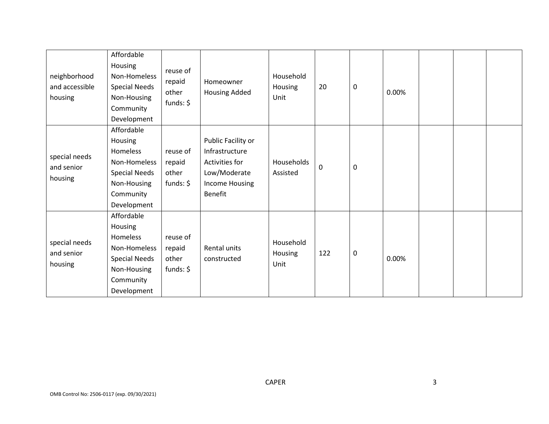| neighborhood<br>and accessible<br>housing | Affordable<br>Housing<br>Non-Homeless<br><b>Special Needs</b><br>Non-Housing<br>Community<br>Development             | reuse of<br>repaid<br>other<br>funds: $$$     | Homeowner<br>Housing Added                                                                                 | Household<br>Housing<br>Unit | 20        | 0 | 0.00% |  |  |
|-------------------------------------------|----------------------------------------------------------------------------------------------------------------------|-----------------------------------------------|------------------------------------------------------------------------------------------------------------|------------------------------|-----------|---|-------|--|--|
| special needs<br>and senior<br>housing    | Affordable<br>Housing<br>Homeless<br>Non-Homeless<br><b>Special Needs</b><br>Non-Housing<br>Community<br>Development | reuse of<br>repaid<br>other<br>funds: $$$     | Public Facility or<br>Infrastructure<br>Activities for<br>Low/Moderate<br>Income Housing<br><b>Benefit</b> | Households<br>Assisted       | $\pmb{0}$ | 0 |       |  |  |
| special needs<br>and senior<br>housing    | Affordable<br>Housing<br>Homeless<br>Non-Homeless<br><b>Special Needs</b><br>Non-Housing<br>Community<br>Development | reuse of<br>repaid<br>other<br>funds: $\oint$ | Rental units<br>constructed                                                                                | Household<br>Housing<br>Unit | 122       | 0 | 0.00% |  |  |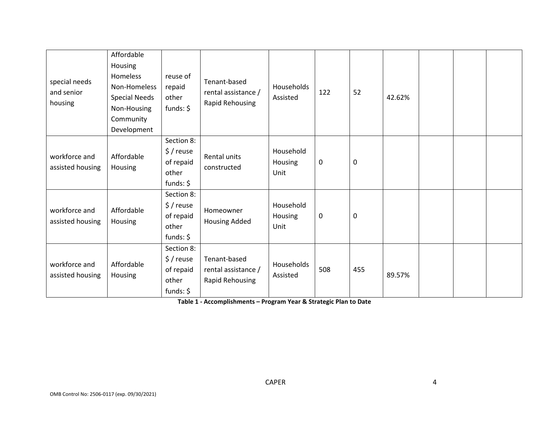| special needs<br>and senior<br>housing | Affordable<br>Housing<br><b>Homeless</b><br>Non-Homeless<br><b>Special Needs</b><br>Non-Housing<br>Community<br>Development | reuse of<br>repaid<br>other<br>funds: $$$                            | Tenant-based<br>rental assistance /<br>Rapid Rehousing | Households<br>Assisted       | 122 | 52  | 42.62% |  |  |
|----------------------------------------|-----------------------------------------------------------------------------------------------------------------------------|----------------------------------------------------------------------|--------------------------------------------------------|------------------------------|-----|-----|--------|--|--|
| workforce and<br>assisted housing      | Affordable<br>Housing                                                                                                       | Section 8:<br>\$/reuse<br>of repaid<br>other<br>funds: $\frac{2}{3}$ | Rental units<br>constructed                            | Household<br>Housing<br>Unit | 0   | 0   |        |  |  |
| workforce and<br>assisted housing      | Affordable<br>Housing                                                                                                       | Section 8:<br>\$/reuse<br>of repaid<br>other<br>funds: $$$           | Homeowner<br>Housing Added                             | Household<br>Housing<br>Unit | 0   | 0   |        |  |  |
| workforce and<br>assisted housing      | Affordable<br>Housing                                                                                                       | Section 8:<br>$$/$ reuse<br>of repaid<br>other<br>funds: $\oint$     | Tenant-based<br>rental assistance /<br>Rapid Rehousing | Households<br>Assisted       | 508 | 455 | 89.57% |  |  |

**Table 1 - Accomplishments – Program Year & Strategic Plan to Date**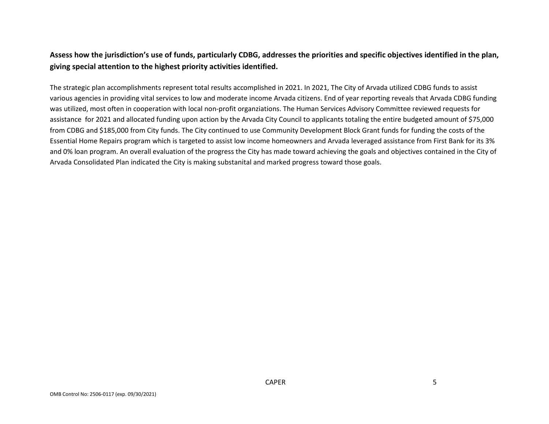### **Assess how the jurisdiction's use of funds, particularly CDBG, addresses the priorities and specific objectives identified in the plan, giving special attention to the highest priority activities identified.**

The strategic plan accomplishments represent total results accomplished in 2021. In 2021, The City of Arvada utilized CDBG funds to assist various agencies in providing vital services to low and moderate income Arvada citizens. End of year reporting reveals that Arvada CDBG funding was utilized, most often in cooperation with local non-profit organziations. The Human Services Advisory Committee reviewed requests for assistance for 2021 and allocated funding upon action by the Arvada City Council to applicants totaling the entire budgeted amount of \$75,000 from CDBG and \$185,000 from City funds. The City continued to use Community Development Block Grant funds for funding the costs of the Essential Home Repairs program which is targeted to assist low income homeowners and Arvada leveraged assistance from First Bank for its 3% and 0% loan program. An overall evaluation of the progress the City has made toward achieving the goals and objectives contained in the City of Arvada Consolidated Plan indicated the City is making substanital and marked progress toward those goals.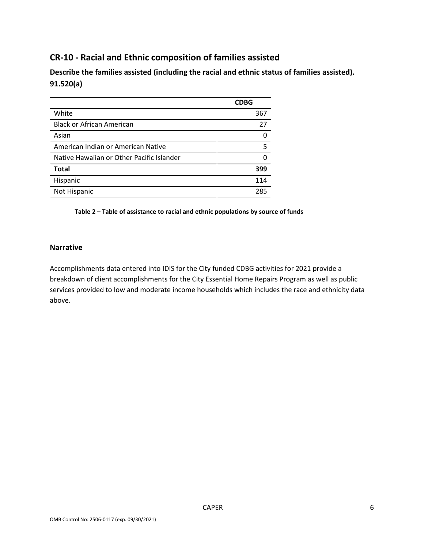# **CR-10 - Racial and Ethnic composition of families assisted**

**Describe the families assisted (including the racial and ethnic status of families assisted). 91.520(a)** 

|                                           | <b>CDBG</b> |
|-------------------------------------------|-------------|
| White                                     | 367         |
| <b>Black or African American</b>          | 27          |
| Asian                                     | n           |
| American Indian or American Native        | 5           |
| Native Hawaiian or Other Pacific Islander |             |
| <b>Total</b>                              | 399         |
| Hispanic                                  | 114         |
| Not Hispanic                              | 285         |

**Table 2 – Table of assistance to racial and ethnic populations by source of funds**

#### **Narrative**

Accomplishments data entered into IDIS for the City funded CDBG activities for 2021 provide a breakdown of client accomplishments for the City Essential Home Repairs Program as well as public services provided to low and moderate income households which includes the race and ethnicity data above.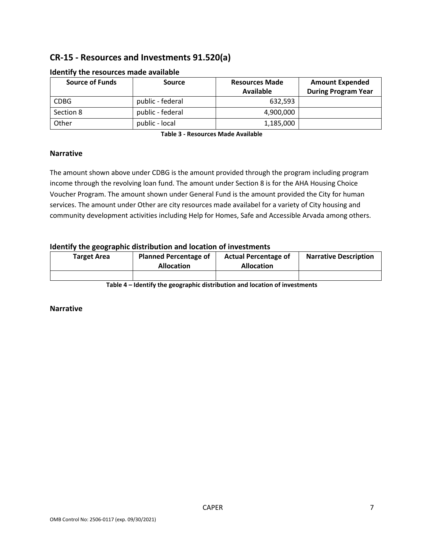# **CR-15 - Resources and Investments 91.520(a)**

| <b>Source of Funds</b> | <b>Source</b>    | <b>Resources Made</b><br><b>Available</b> | <b>Amount Expended</b><br><b>During Program Year</b> |
|------------------------|------------------|-------------------------------------------|------------------------------------------------------|
| <b>CDBG</b>            | public - federal | 632.593                                   |                                                      |
| Section 8              | public - federal | 4,900,000                                 |                                                      |
| Other                  | public - local   | 1,185,000                                 |                                                      |

#### **Identify the resources made available**

**Table 3 - Resources Made Available**

#### **Narrative**

The amount shown above under CDBG is the amount provided through the program including program income through the revolving loan fund. The amount under Section 8 is for the AHA Housing Choice Voucher Program. The amount shown under General Fund is the amount provided the City for human services. The amount under Other are city resources made availabel for a variety of City housing and community development activities including Help for Homes, Safe and Accessible Arvada among others.

#### **Identify the geographic distribution and location of investments**

| <b>Target Area</b> | <b>Planned Percentage of</b><br><b>Allocation</b> | <b>Actual Percentage of</b><br><b>Allocation</b> | <b>Narrative Description</b> |
|--------------------|---------------------------------------------------|--------------------------------------------------|------------------------------|
|                    |                                                   |                                                  |                              |

**Table 4 – Identify the geographic distribution and location of investments**

#### **Narrative**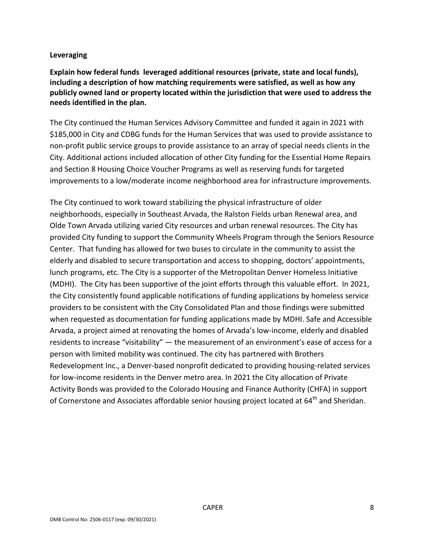#### **Leveraging**

**Explain how federal funds leveraged additional resources (private, state and local funds), including a description of how matching requirements were satisfied, as well as how any publicly owned land or property located within the jurisdiction that were used to address the needs identified in the plan.**

The City continued the Human Services Advisory Committee and funded it again in 2021 with \$185,000 in City and CDBG funds for the Human Services that was used to provide assistance to non-profit public service groups to provide assistance to an array of special needs clients in the City. Additional actions included allocation of other City funding for the Essential Home Repairs and Section 8 Housing Choice Voucher Programs as well as reserving funds for targeted improvements to a low/moderate income neighborhood area for infrastructure improvements.

The City continued to work toward stabilizing the physical infrastructure of older neighborhoods, especially in Southeast Arvada, the Ralston Fields urban Renewal area, and Olde Town Arvada utilizing varied City resources and urban renewal resources. The City has provided City funding to support the Community Wheels Program through the Seniors Resource Center. That funding has allowed for two buses to circulate in the community to assist the elderly and disabled to secure transportation and access to shopping, doctors' appointments, lunch programs, etc. The City is a supporter of the Metropolitan Denver Homeless Initiative (MDHI). The City has been supportive of the joint efforts through this valuable effort. In 2021, the City consistently found applicable notifications of funding applications by homeless service providers to be consistent with the City Consolidated Plan and those findings were submitted when requested as documentation for funding applications made by MDHI. Safe and Accessible Arvada, a project aimed at renovating the homes of Arvada's low-income, elderly and disabled residents to increase "visitability" — the measurement of an environment's ease of access for a person with limited mobility was continued. The city has partnered with Brothers Redevelopment Inc., a Denver-based nonprofit dedicated to providing housing-related services for low-income residents in the Denver metro area. In 2021 the City allocation of Private Activity Bonds was provided to the Colorado Housing and Finance Authority (CHFA) in support of Cornerstone and Associates affordable senior housing project located at 64<sup>th</sup> and Sheridan.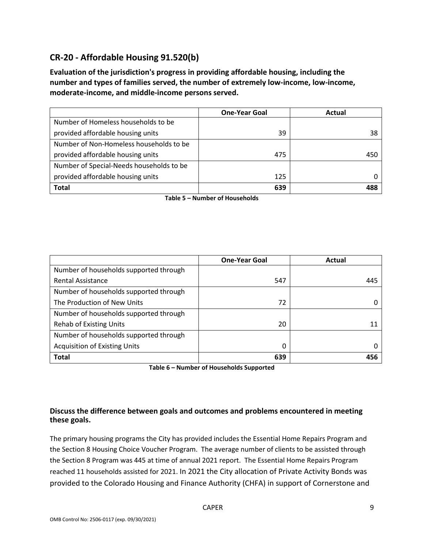# **CR-20 - Affordable Housing 91.520(b)**

**Evaluation of the jurisdiction's progress in providing affordable housing, including the number and types of families served, the number of extremely low-income, low-income, moderate-income, and middle-income persons served.**

|                                          | <b>One-Year Goal</b> | Actual |
|------------------------------------------|----------------------|--------|
| Number of Homeless households to be      |                      |        |
| provided affordable housing units        | 39                   | 38     |
| Number of Non-Homeless households to be  |                      |        |
| provided affordable housing units        | 475                  | 450    |
| Number of Special-Needs households to be |                      |        |
| provided affordable housing units        | 125                  |        |
| <b>Total</b>                             | 639                  | 488    |

**Table 5 – Number of Households**

|                                        | <b>One-Year Goal</b> | Actual |
|----------------------------------------|----------------------|--------|
| Number of households supported through |                      |        |
| <b>Rental Assistance</b>               | 547                  | 445    |
| Number of households supported through |                      |        |
| The Production of New Units            | 72                   |        |
| Number of households supported through |                      |        |
| <b>Rehab of Existing Units</b>         | 20                   | 11     |
| Number of households supported through |                      |        |
| <b>Acquisition of Existing Units</b>   | 0                    |        |
| <b>Total</b>                           | 639                  | 456    |

**Table 6 – Number of Households Supported**

#### **Discuss the difference between goals and outcomes and problems encountered in meeting these goals.**

The primary housing programs the City has provided includes the Essential Home Repairs Program and the Section 8 Housing Choice Voucher Program. The average number of clients to be assisted through the Section 8 Program was 445 at time of annual 2021 report. The Essential Home Repairs Program reached 11 households assisted for 2021. In 2021 the City allocation of Private Activity Bonds was provided to the Colorado Housing and Finance Authority (CHFA) in support of Cornerstone and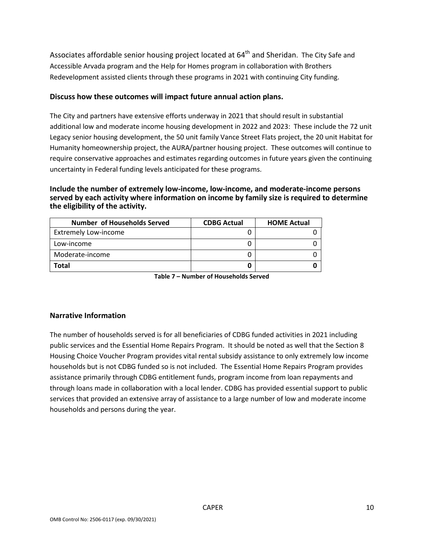Associates affordable senior housing project located at 64<sup>th</sup> and Sheridan. The City Safe and Accessible Arvada program and the Help for Homes program in collaboration with Brothers Redevelopment assisted clients through these programs in 2021 with continuing City funding.

#### **Discuss how these outcomes will impact future annual action plans.**

The City and partners have extensive efforts underway in 2021 that should result in substantial additional low and moderate income housing development in 2022 and 2023: These include the 72 unit Legacy senior housing development, the 50 unit family Vance Street Flats project, the 20 unit Habitat for Humanity homeownership project, the AURA/partner housing project. These outcomes will continue to require conservative approaches and estimates regarding outcomes in future years given the continuing uncertainty in Federal funding levels anticipated for these programs.

#### **Include the number of extremely low-income, low-income, and moderate-income persons served by each activity where information on income by family size is required to determine the eligibility of the activity.**

| Number of Households Served | <b>CDBG Actual</b> | <b>HOME Actual</b> |
|-----------------------------|--------------------|--------------------|
| <b>Extremely Low-income</b> |                    |                    |
| Low-income                  |                    |                    |
| Moderate-income             |                    |                    |
| Total                       |                    |                    |

**Table 7 – Number of Households Served**

#### **Narrative Information**

The number of households served is for all beneficiaries of CDBG funded activities in 2021 including public services and the Essential Home Repairs Program. It should be noted as well that the Section 8 Housing Choice Voucher Program provides vital rental subsidy assistance to only extremely low income households but is not CDBG funded so is not included. The Essential Home Repairs Program provides assistance primarily through CDBG entitlement funds, program income from loan repayments and through loans made in collaboration with a local lender. CDBG has provided essential support to public services that provided an extensive array of assistance to a large number of low and moderate income households and persons during the year.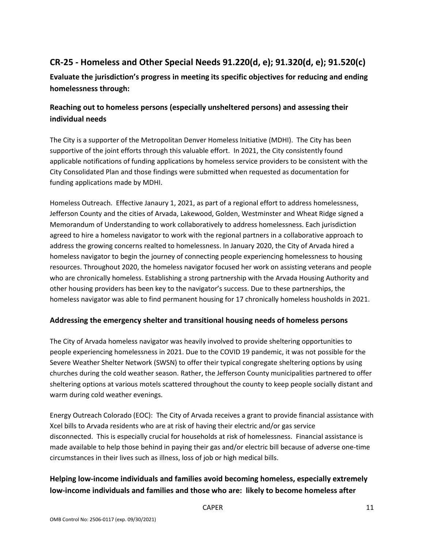# **CR-25 - Homeless and Other Special Needs 91.220(d, e); 91.320(d, e); 91.520(c)**

**Evaluate the jurisdiction's progress in meeting its specific objectives for reducing and ending homelessness through:**

### **Reaching out to homeless persons (especially unsheltered persons) and assessing their individual needs**

The City is a supporter of the Metropolitan Denver Homeless Initiative (MDHI). The City has been supportive of the joint efforts through this valuable effort. In 2021, the City consistently found applicable notifications of funding applications by homeless service providers to be consistent with the City Consolidated Plan and those findings were submitted when requested as documentation for funding applications made by MDHI.

Homeless Outreach. Effective Janaury 1, 2021, as part of a regional effort to address homelessness, Jefferson County and the cities of Arvada, Lakewood, Golden, Westminster and Wheat Ridge signed a Memorandum of Understanding to work collaboratively to address homelessness. Each jurisdiction agreed to hire a homeless navigator to work with the regional partners in a collaborative approach to address the growing concerns realted to homelessness. In January 2020, the City of Arvada hired a homeless navigator to begin the journey of connecting people experiencing homelessness to housing resources. Throughout 2020, the homeless navigator focused her work on assisting veterans and people who are chronically homeless. Establishing a strong partnership with the Arvada Housing Authority and other housing providers has been key to the navigator's success. Due to these partnerships, the homeless navigator was able to find permanent housing for 17 chronically homeless housholds in 2021.

#### **Addressing the emergency shelter and transitional housing needs of homeless persons**

The City of Arvada homeless navigator was heavily involved to provide sheltering opportunities to people experiencing homelessness in 2021. Due to the COVID 19 pandemic, it was not possible for the Severe Weather Shelter Network (SWSN) to offer their typical congregate sheltering options by using churches during the cold weather season. Rather, the Jefferson County municipalities partnered to offer sheltering options at various motels scattered throughout the county to keep people socially distant and warm during cold weather evenings.

Energy Outreach Colorado (EOC): The City of Arvada receives a grant to provide financial assistance with Xcel bills to Arvada residents who are at risk of having their electric and/or gas service disconnected. This is especially crucial for households at risk of homelessness. Financial assistance is made available to help those behind in paying their gas and/or electric bill because of adverse one-time circumstances in their lives such as illness, loss of job or high medical bills.

## **Helping low-income individuals and families avoid becoming homeless, especially extremely low-income individuals and families and those who are: likely to become homeless after**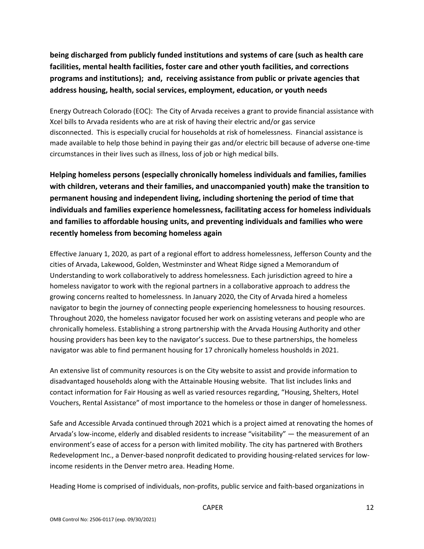**being discharged from publicly funded institutions and systems of care (such as health care facilities, mental health facilities, foster care and other youth facilities, and corrections programs and institutions); and, receiving assistance from public or private agencies that address housing, health, social services, employment, education, or youth needs**

Energy Outreach Colorado (EOC): The City of Arvada receives a grant to provide financial assistance with Xcel bills to Arvada residents who are at risk of having their electric and/or gas service disconnected. This is especially crucial for households at risk of homelessness. Financial assistance is made available to help those behind in paying their gas and/or electric bill because of adverse one-time circumstances in their lives such as illness, loss of job or high medical bills.

**Helping homeless persons (especially chronically homeless individuals and families, families with children, veterans and their families, and unaccompanied youth) make the transition to permanent housing and independent living, including shortening the period of time that individuals and families experience homelessness, facilitating access for homeless individuals and families to affordable housing units, and preventing individuals and families who were recently homeless from becoming homeless again**

Effective January 1, 2020, as part of a regional effort to address homelessness, Jefferson County and the cities of Arvada, Lakewood, Golden, Westminster and Wheat Ridge signed a Memorandum of Understanding to work collaboratively to address homelessness. Each jurisdiction agreed to hire a homeless navigator to work with the regional partners in a collaborative approach to address the growing concerns realted to homelessness. In January 2020, the City of Arvada hired a homeless navigator to begin the journey of connecting people experiencing homelessness to housing resources. Throughout 2020, the homeless navigator focused her work on assisting veterans and people who are chronically homeless. Establishing a strong partnership with the Arvada Housing Authority and other housing providers has been key to the navigator's success. Due to these partnerships, the homeless navigator was able to find permanent housing for 17 chronically homeless housholds in 2021.

An extensive list of community resources is on the City website to assist and provide information to disadvantaged households along with the Attainable Housing website. That list includes links and contact information for Fair Housing as well as varied resources regarding, "Housing, Shelters, Hotel Vouchers, Rental Assistance" of most importance to the homeless or those in danger of homelessness.

Safe and Accessible Arvada continued through 2021 which is a project aimed at renovating the homes of Arvada's low-income, elderly and disabled residents to increase "visitability" — the measurement of an environment's ease of access for a person with limited mobility. The city has partnered with Brothers Redevelopment Inc., a Denver-based nonprofit dedicated to providing housing-related services for lowincome residents in the Denver metro area. Heading Home.

Heading Home is comprised of individuals, non-profits, public service and faith-based organizations in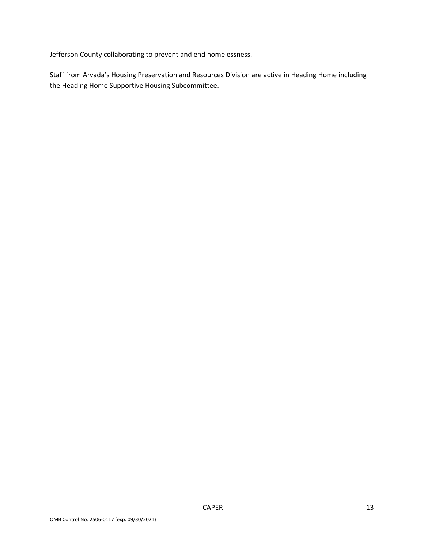Jefferson County collaborating to prevent and end homelessness.

Staff from Arvada's Housing Preservation and Resources Division are active in Heading Home including the Heading Home Supportive Housing Subcommittee.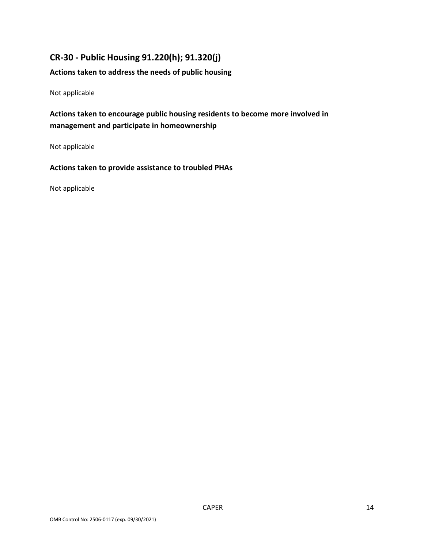## **CR-30 - Public Housing 91.220(h); 91.320(j)**

#### **Actions taken to address the needs of public housing**

Not applicable

### **Actions taken to encourage public housing residents to become more involved in management and participate in homeownership**

Not applicable

**Actions taken to provide assistance to troubled PHAs**

Not applicable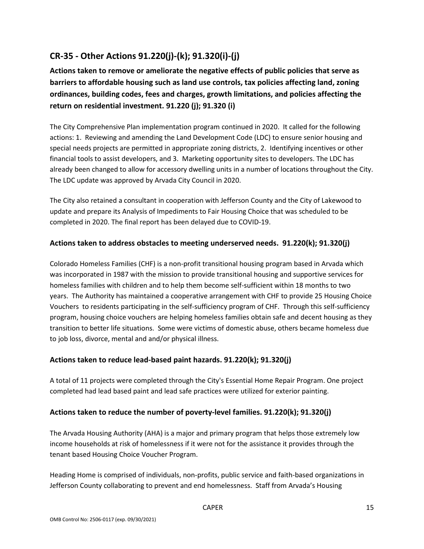# **CR-35 - Other Actions 91.220(j)-(k); 91.320(i)-(j)**

**Actions taken to remove or ameliorate the negative effects of public policies that serve as barriers to affordable housing such as land use controls, tax policies affecting land, zoning ordinances, building codes, fees and charges, growth limitations, and policies affecting the return on residential investment. 91.220 (j); 91.320 (i)**

The City Comprehensive Plan implementation program continued in 2020. It called for the following actions: 1. Reviewing and amending the Land Development Code (LDC) to ensure senior housing and special needs projects are permitted in appropriate zoning districts, 2. Identifying incentives or other financial tools to assist developers, and 3. Marketing opportunity sites to developers. The LDC has already been changed to allow for accessory dwelling units in a number of locations throughout the City. The LDC update was approved by Arvada City Council in 2020.

The City also retained a consultant in cooperation with Jefferson County and the City of Lakewood to update and prepare its Analysis of Impediments to Fair Housing Choice that was scheduled to be completed in 2020. The final report has been delayed due to COVID-19.

#### **Actions taken to address obstacles to meeting underserved needs. 91.220(k); 91.320(j)**

Colorado Homeless Families (CHF) is a non-profit transitional housing program based in Arvada which was incorporated in 1987 with the mission to provide transitional housing and supportive services for homeless families with children and to help them become self-sufficient within 18 months to two years. The Authority has maintained a cooperative arrangement with CHF to provide 25 Housing Choice Vouchers to residents participating in the self-sufficiency program of CHF. Through this self-sufficiency program, housing choice vouchers are helping homeless families obtain safe and decent housing as they transition to better life situations. Some were victims of domestic abuse, others became homeless due to job loss, divorce, mental and and/or physical illness.

#### **Actions taken to reduce lead-based paint hazards. 91.220(k); 91.320(j)**

A total of 11 projects were completed through the City's Essential Home Repair Program. One project completed had lead based paint and lead safe practices were utilized for exterior painting.

#### **Actions taken to reduce the number of poverty-level families. 91.220(k); 91.320(j)**

The Arvada Housing Authority (AHA) is a major and primary program that helps those extremely low income households at risk of homelessness if it were not for the assistance it provides through the tenant based Housing Choice Voucher Program.

Heading Home is comprised of individuals, non-profits, public service and faith-based organizations in Jefferson County collaborating to prevent and end homelessness. Staff from Arvada's Housing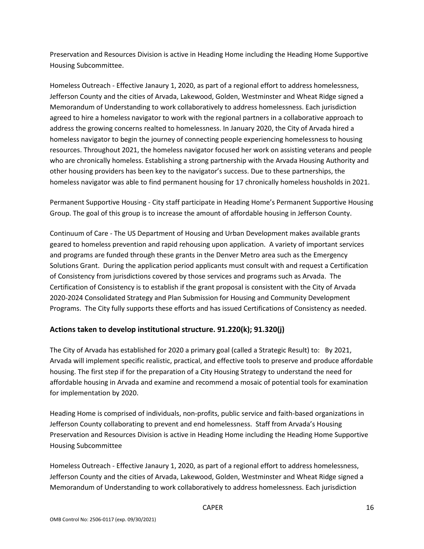Preservation and Resources Division is active in Heading Home including the Heading Home Supportive Housing Subcommittee.

Homeless Outreach - Effective Janaury 1, 2020, as part of a regional effort to address homelessness, Jefferson County and the cities of Arvada, Lakewood, Golden, Westminster and Wheat Ridge signed a Memorandum of Understanding to work collaboratively to address homelessness. Each jurisdiction agreed to hire a homeless navigator to work with the regional partners in a collaborative approach to address the growing concerns realted to homelessness. In January 2020, the City of Arvada hired a homeless navigator to begin the journey of connecting people experiencing homelessness to housing resources. Throughout 2021, the homeless navigator focused her work on assisting veterans and people who are chronically homeless. Establishing a strong partnership with the Arvada Housing Authority and other housing providers has been key to the navigator's success. Due to these partnerships, the homeless navigator was able to find permanent housing for 17 chronically homeless housholds in 2021.

Permanent Supportive Housing - City staff participate in Heading Home's Permanent Supportive Housing Group. The goal of this group is to increase the amount of affordable housing in Jefferson County.

Continuum of Care - The US Department of Housing and Urban Development makes available grants geared to homeless prevention and rapid rehousing upon application. A variety of important services and programs are funded through these grants in the Denver Metro area such as the Emergency Solutions Grant. During the application period applicants must consult with and request a Certification of Consistency from jurisdictions covered by those services and programs such as Arvada. The Certification of Consistency is to establish if the grant proposal is consistent with the City of Arvada 2020-2024 Consolidated Strategy and Plan Submission for Housing and Community Development Programs. The City fully supports these efforts and has issued Certifications of Consistency as needed.

#### **Actions taken to develop institutional structure. 91.220(k); 91.320(j)**

The City of Arvada has established for 2020 a primary goal (called a Strategic Result) to: By 2021, Arvada will implement specific realistic, practical, and effective tools to preserve and produce affordable housing. The first step if for the preparation of a City Housing Strategy to understand the need for affordable housing in Arvada and examine and recommend a mosaic of potential tools for examination for implementation by 2020.

Heading Home is comprised of individuals, non-profits, public service and faith-based organizations in Jefferson County collaborating to prevent and end homelessness. Staff from Arvada's Housing Preservation and Resources Division is active in Heading Home including the Heading Home Supportive Housing Subcommittee

Homeless Outreach - Effective Janaury 1, 2020, as part of a regional effort to address homelessness, Jefferson County and the cities of Arvada, Lakewood, Golden, Westminster and Wheat Ridge signed a Memorandum of Understanding to work collaboratively to address homelessness. Each jurisdiction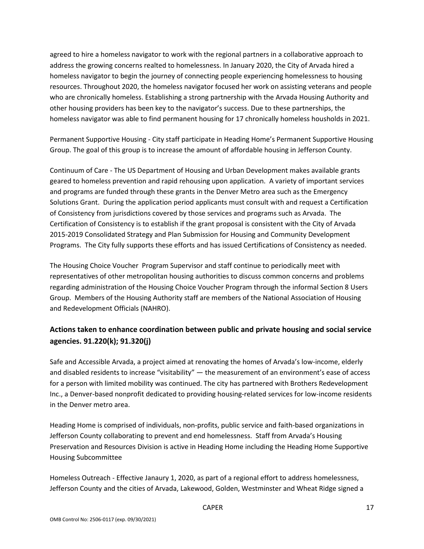agreed to hire a homeless navigator to work with the regional partners in a collaborative approach to address the growing concerns realted to homelessness. In January 2020, the City of Arvada hired a homeless navigator to begin the journey of connecting people experiencing homelessness to housing resources. Throughout 2020, the homeless navigator focused her work on assisting veterans and people who are chronically homeless. Establishing a strong partnership with the Arvada Housing Authority and other housing providers has been key to the navigator's success. Due to these partnerships, the homeless navigator was able to find permanent housing for 17 chronically homeless housholds in 2021.

Permanent Supportive Housing - City staff participate in Heading Home's Permanent Supportive Housing Group. The goal of this group is to increase the amount of affordable housing in Jefferson County.

Continuum of Care - The US Department of Housing and Urban Development makes available grants geared to homeless prevention and rapid rehousing upon application. A variety of important services and programs are funded through these grants in the Denver Metro area such as the Emergency Solutions Grant. During the application period applicants must consult with and request a Certification of Consistency from jurisdictions covered by those services and programs such as Arvada. The Certification of Consistency is to establish if the grant proposal is consistent with the City of Arvada 2015-2019 Consolidated Strategy and Plan Submission for Housing and Community Development Programs. The City fully supports these efforts and has issued Certifications of Consistency as needed.

The Housing Choice Voucher Program Supervisor and staff continue to periodically meet with representatives of other metropolitan housing authorities to discuss common concerns and problems regarding administration of the Housing Choice Voucher Program through the informal Section 8 Users Group. Members of the Housing Authority staff are members of the National Association of Housing and Redevelopment Officials (NAHRO).

### **Actions taken to enhance coordination between public and private housing and social service agencies. 91.220(k); 91.320(j)**

Safe and Accessible Arvada, a project aimed at renovating the homes of Arvada's low-income, elderly and disabled residents to increase "visitability" — the measurement of an environment's ease of access for a person with limited mobility was continued. The city has partnered with Brothers Redevelopment Inc., a Denver-based nonprofit dedicated to providing housing-related services for low-income residents in the Denver metro area.

Heading Home is comprised of individuals, non-profits, public service and faith-based organizations in Jefferson County collaborating to prevent and end homelessness. Staff from Arvada's Housing Preservation and Resources Division is active in Heading Home including the Heading Home Supportive Housing Subcommittee

Homeless Outreach - Effective Janaury 1, 2020, as part of a regional effort to address homelessness, Jefferson County and the cities of Arvada, Lakewood, Golden, Westminster and Wheat Ridge signed a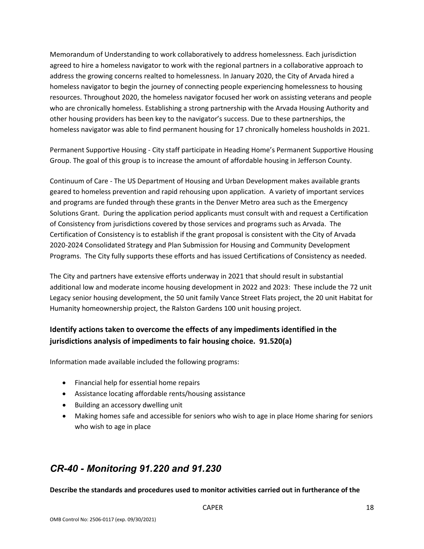Memorandum of Understanding to work collaboratively to address homelessness. Each jurisdiction agreed to hire a homeless navigator to work with the regional partners in a collaborative approach to address the growing concerns realted to homelessness. In January 2020, the City of Arvada hired a homeless navigator to begin the journey of connecting people experiencing homelessness to housing resources. Throughout 2020, the homeless navigator focused her work on assisting veterans and people who are chronically homeless. Establishing a strong partnership with the Arvada Housing Authority and other housing providers has been key to the navigator's success. Due to these partnerships, the homeless navigator was able to find permanent housing for 17 chronically homeless housholds in 2021.

Permanent Supportive Housing - City staff participate in Heading Home's Permanent Supportive Housing Group. The goal of this group is to increase the amount of affordable housing in Jefferson County.

Continuum of Care - The US Department of Housing and Urban Development makes available grants geared to homeless prevention and rapid rehousing upon application. A variety of important services and programs are funded through these grants in the Denver Metro area such as the Emergency Solutions Grant. During the application period applicants must consult with and request a Certification of Consistency from jurisdictions covered by those services and programs such as Arvada. The Certification of Consistency is to establish if the grant proposal is consistent with the City of Arvada 2020-2024 Consolidated Strategy and Plan Submission for Housing and Community Development Programs. The City fully supports these efforts and has issued Certifications of Consistency as needed.

The City and partners have extensive efforts underway in 2021 that should result in substantial additional low and moderate income housing development in 2022 and 2023: These include the 72 unit Legacy senior housing development, the 50 unit family Vance Street Flats project, the 20 unit Habitat for Humanity homeownership project, the Ralston Gardens 100 unit housing project.

### **Identify actions taken to overcome the effects of any impediments identified in the jurisdictions analysis of impediments to fair housing choice. 91.520(a)**

Information made available included the following programs:

- Financial help for essential home repairs
- Assistance locating affordable rents/housing assistance
- Building an accessory dwelling unit
- Making homes safe and accessible for seniors who wish to age in place Home sharing for seniors who wish to age in place

# *CR-40 - Monitoring 91.220 and 91.230*

**Describe the standards and procedures used to monitor activities carried out in furtherance of the**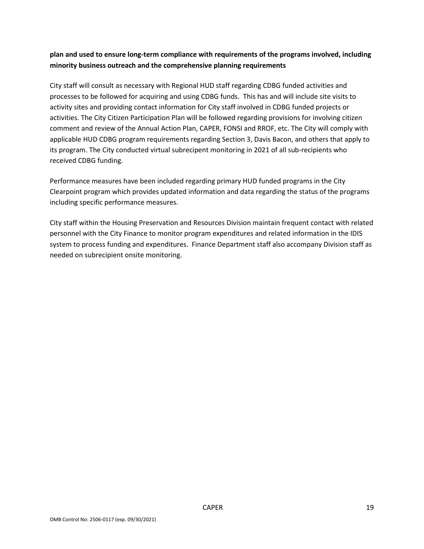#### **plan and used to ensure long-term compliance with requirements of the programs involved, including minority business outreach and the comprehensive planning requirements**

City staff will consult as necessary with Regional HUD staff regarding CDBG funded activities and processes to be followed for acquiring and using CDBG funds. This has and will include site visits to activity sites and providing contact information for City staff involved in CDBG funded projects or activities. The City Citizen Participation Plan will be followed regarding provisions for involving citizen comment and review of the Annual Action Plan, CAPER, FONSI and RROF, etc. The City will comply with applicable HUD CDBG program requirements regarding Section 3, Davis Bacon, and others that apply to its program. The City conducted virtual subrecipent monitoring in 2021 of all sub-recipients who received CDBG funding.

Performance measures have been included regarding primary HUD funded programs in the City Clearpoint program which provides updated information and data regarding the status of the programs including specific performance measures.

City staff within the Housing Preservation and Resources Division maintain frequent contact with related personnel with the City Finance to monitor program expenditures and related information in the IDIS system to process funding and expenditures. Finance Department staff also accompany Division staff as needed on subrecipient onsite monitoring.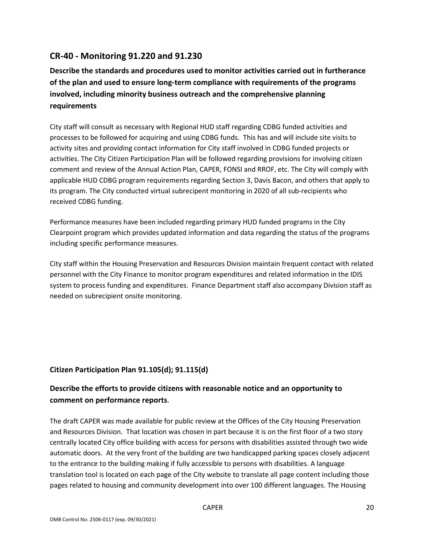### **CR-40 - Monitoring 91.220 and 91.230**

**Describe the standards and procedures used to monitor activities carried out in furtherance of the plan and used to ensure long-term compliance with requirements of the programs involved, including minority business outreach and the comprehensive planning requirements**

City staff will consult as necessary with Regional HUD staff regarding CDBG funded activities and processes to be followed for acquiring and using CDBG funds. This has and will include site visits to activity sites and providing contact information for City staff involved in CDBG funded projects or activities. The City Citizen Participation Plan will be followed regarding provisions for involving citizen comment and review of the Annual Action Plan, CAPER, FONSI and RROF, etc. The City will comply with applicable HUD CDBG program requirements regarding Section 3, Davis Bacon, and others that apply to its program. The City conducted virtual subrecipent monitoring in 2020 of all sub-recipients who received CDBG funding.

Performance measures have been included regarding primary HUD funded programs in the City Clearpoint program which provides updated information and data regarding the status of the programs including specific performance measures.

City staff within the Housing Preservation and Resources Division maintain frequent contact with related personnel with the City Finance to monitor program expenditures and related information in the IDIS system to process funding and expenditures. Finance Department staff also accompany Division staff as needed on subrecipient onsite monitoring.

#### **Citizen Participation Plan 91.105(d); 91.115(d)**

### **Describe the efforts to provide citizens with reasonable notice and an opportunity to comment on performance reports**.

The draft CAPER was made available for public review at the Offices of the City Housing Preservation and Resources Division. That location was chosen in part because it is on the first floor of a two story centrally located City office building with access for persons with disabilities assisted through two wide automatic doors. At the very front of the building are two handicapped parking spaces closely adjacent to the entrance to the building making if fully accessible to persons with disabilities. A language translation tool is located on each page of the City website to translate all page content including those pages related to housing and community development into over 100 different languages. The Housing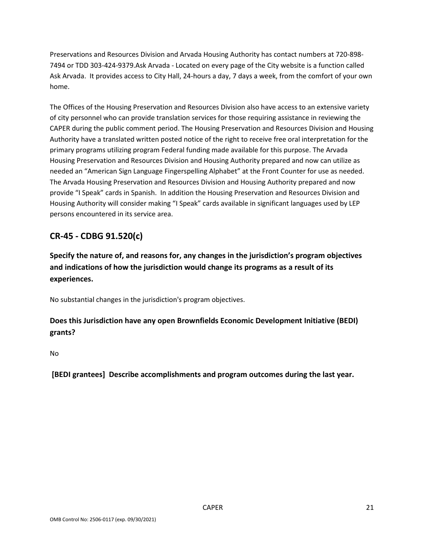Preservations and Resources Division and Arvada Housing Authority has contact numbers at 720-898- 7494 or TDD 303-424-9379.Ask Arvada - Located on every page of the City website is a function called Ask Arvada. It provides access to City Hall, 24-hours a day, 7 days a week, from the comfort of your own home.

The Offices of the Housing Preservation and Resources Division also have access to an extensive variety of city personnel who can provide translation services for those requiring assistance in reviewing the CAPER during the public comment period. The Housing Preservation and Resources Division and Housing Authority have a translated written posted notice of the right to receive free oral interpretation for the primary programs utilizing program Federal funding made available for this purpose. The Arvada Housing Preservation and Resources Division and Housing Authority prepared and now can utilize as needed an "American Sign Language Fingerspelling Alphabet" at the Front Counter for use as needed. The Arvada Housing Preservation and Resources Division and Housing Authority prepared and now provide "I Speak" cards in Spanish. In addition the Housing Preservation and Resources Division and Housing Authority will consider making "I Speak" cards available in significant languages used by LEP persons encountered in its service area.

## **CR-45 - CDBG 91.520(c)**

**Specify the nature of, and reasons for, any changes in the jurisdiction's program objectives and indications of how the jurisdiction would change its programs as a result of its experiences.**

No substantial changes in the jurisdiction's program objectives.

### **Does this Jurisdiction have any open Brownfields Economic Development Initiative (BEDI) grants?**

No

**[BEDI grantees] Describe accomplishments and program outcomes during the last year.**